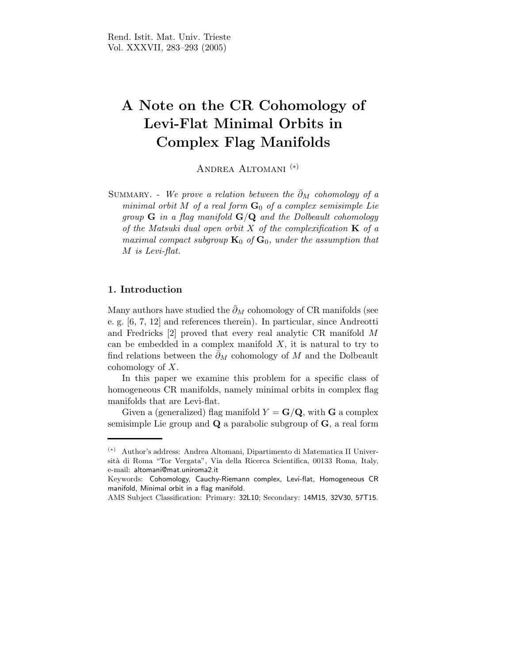# A Note on the CR Cohomology of Levi-Flat Minimal Orbits in Complex Flag Manifolds

Andrea Altomani (∗)

SUMMARY. - We prove a relation between the  $\bar{\partial}_M$  cohomology of a minimal orbit M of a real form  $G_0$  of a complex semisimple Lie group  $G$  in a flag manifold  $G/Q$  and the Dolbeault cohomology of the Matsuki dual open orbit X of the complexification  $\bf{K}$  of a maximal compact subgroup  $\mathbf{K}_0$  of  $\mathbf{G}_0$ , under the assumption that M is Levi-flat.

### 1. Introduction

Many authors have studied the  $\bar{\partial}_M$  cohomology of CR manifolds (see e. g. [6, 7, 12] and references therein). In particular, since Andreotti and Fredricks [2] proved that every real analytic CR manifold M can be embedded in a complex manifold  $X$ , it is natural to try to find relations between the  $\bar{\partial}_M$  cohomology of M and the Dolbeault cohomology of  $X$ .

In this paper we examine this problem for a specific class of homogeneous CR manifolds, namely minimal orbits in complex flag manifolds that are Levi-flat.

Given a (generalized) flag manifold  $Y = G/Q$ , with G a complex semisimple Lie group and  $\bf{Q}$  a parabolic subgroup of  $\bf{G}$ , a real form

<sup>(</sup>∗) Author's address: Andrea Altomani, Dipartimento di Matematica II Universit`a di Roma "Tor Vergata", Via della Ricerca Scientifica, 00133 Roma, Italy, e-mail: altomani@mat.uniroma2.it

Keywords: Cohomology, Cauchy-Riemann complex, Levi-flat, Homogeneous CR manifold, Minimal orbit in a flag manifold.

AMS Subject Classification: Primary: 32L10; Secondary: 14M15, 32V30, 57T15.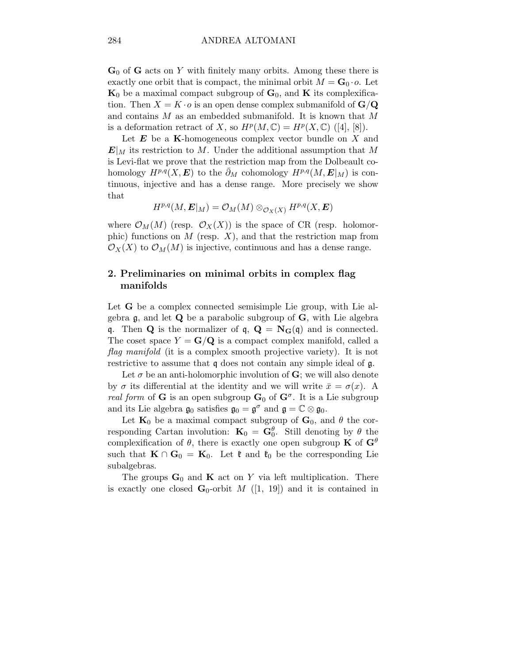$\mathbf{G}_0$  of  $\mathbf{G}$  acts on Y with finitely many orbits. Among these there is exactly one orbit that is compact, the minimal orbit  $M = G_0 \cdot o$ . Let  $K_0$  be a maximal compact subgroup of  $G_0$ , and K its complexification. Then  $X = K \cdot o$  is an open dense complex submanifold of  $\mathbf{G}/\mathbf{Q}$ and contains M as an embedded submanifold. It is known that M is a deformation retract of X, so  $H^p(M, \mathbb{C}) = H^p(X, \mathbb{C})$  ([4], [8]).

Let  $E$  be a K-homogeneous complex vector bundle on X and  $\mathbf{E}|_M$  its restriction to M. Under the additional assumption that M is Levi-flat we prove that the restriction map from the Dolbeault cohomology  $H^{p,q}(X, E)$  to the  $\partial_M$  cohomology  $H^{p,q}(M, E|_M)$  is continuous, injective and has a dense range. More precisely we show that

$$
H^{p,q}(M,\boldsymbol{E}|_M)=\mathcal{O}_M(M)\otimes_{\mathcal{O}_X(X)}H^{p,q}(X,\boldsymbol{E})
$$

where  $\mathcal{O}_M(M)$  (resp.  $\mathcal{O}_X(X)$ ) is the space of CR (resp. holomorphic) functions on  $M$  (resp.  $X$ ), and that the restriction map from  $\mathcal{O}_X(X)$  to  $\mathcal{O}_M(M)$  is injective, continuous and has a dense range.

## 2. Preliminaries on minimal orbits in complex flag manifolds

Let **G** be a complex connected semisimple Lie group, with Lie algebra  $\mathfrak g$ , and let  $\mathbf Q$  be a parabolic subgroup of  $\mathbf G$ , with Lie algebra q. Then **Q** is the normalizer of **q**,  $\mathbf{Q} = \mathbf{N}_{\mathbf{G}}(\mathbf{q})$  and is connected. The coset space  $Y = G/Q$  is a compact complex manifold, called a flag manifold (it is a complex smooth projective variety). It is not restrictive to assume that q does not contain any simple ideal of g.

Let  $\sigma$  be an anti-holomorphic involution of G; we will also denote by  $\sigma$  its differential at the identity and we will write  $\bar{x} = \sigma(x)$ . A *real form* of **G** is an open subgroup  $\mathbf{G}_0$  of  $\mathbf{G}^{\sigma}$ . It is a Lie subgroup and its Lie algebra  $\mathfrak{g}_0$  satisfies  $\mathfrak{g}_0 = \mathfrak{g}^\sigma$  and  $\mathfrak{g} = \mathbb{C} \otimes \mathfrak{g}_0$ .

Let  $\mathbf{K}_0$  be a maximal compact subgroup of  $\mathbf{G}_0$ , and  $\theta$  the corresponding Cartan involution:  $\mathbf{K}_0 = \mathbf{G}_0^{\theta}$ . Still denoting by  $\theta$  the complexification of  $\theta$ , there is exactly one open subgroup **K** of  $G^{\theta}$ such that  $\mathbf{K} \cap \mathbf{G}_0 = \mathbf{K}_0$ . Let  $\mathfrak{k}$  and  $\mathfrak{k}_0$  be the corresponding Lie subalgebras.

The groups  $\mathbf{G}_0$  and  $\mathbf{K}$  act on Y via left multiplication. There is exactly one closed  $\mathbf{G}_0$ -orbit M ([1, 19]) and it is contained in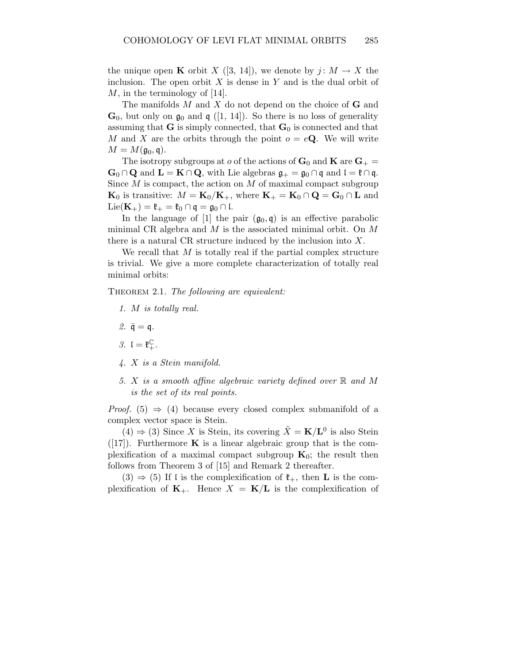the unique open **K** orbit X ([3, 14]), we denote by  $j: M \to X$  the inclusion. The open orbit  $X$  is dense in  $Y$  and is the dual orbit of M, in the terminology of [14].

The manifolds  $M$  and  $X$  do not depend on the choice of  **and**  $\mathbf{G}_0$ , but only on  $\mathfrak{g}_0$  and  $\mathfrak{g}$  ([1, 14]). So there is no loss of generality assuming that  $G$  is simply connected, that  $G_0$  is connected and that M and X are the orbits through the point  $o = eQ$ . We will write  $M = M(\mathfrak{g}_0, \mathfrak{q}).$ 

The isotropy subgroups at o of the actions of  $\mathbf{G}_0$  and  $\mathbf{K}$  are  $\mathbf{G}_+$  =  $\mathbf{G}_0 \cap \mathbf{Q}$  and  $\mathbf{L} = \mathbf{K} \cap \mathbf{Q}$ , with Lie algebras  $\mathfrak{g}_+ = \mathfrak{g}_0 \cap \mathfrak{q}$  and  $\mathfrak{l} = \mathfrak{k} \cap \mathfrak{q}$ . Since  $M$  is compact, the action on  $M$  of maximal compact subgroup  $\mathbf{K}_0$  is transitive:  $M = \mathbf{K}_0 / \mathbf{K}_+$ , where  $\mathbf{K}_+ = \mathbf{K}_0 \cap \mathbf{Q} = \mathbf{G}_0 \cap \mathbf{L}$  and  $\text{Lie}(\mathbf{K}_+) = \mathfrak{k}_+ = \mathfrak{k}_0 \cap \mathfrak{q} = \mathfrak{g}_0 \cap \mathfrak{l}.$ 

In the language of [1] the pair  $(\mathfrak{g}_0, \mathfrak{q})$  is an effective parabolic minimal CR algebra and M is the associated minimal orbit. On M there is a natural CR structure induced by the inclusion into  $X$ .

We recall that  $M$  is totally real if the partial complex structure is trivial. We give a more complete characterization of totally real minimal orbits:

THEOREM 2.1. The following are equivalent:

- 1. M is totally real.
- 2.  $\bar{\mathfrak{q}} = \mathfrak{q}$ .
- 3.  $I = \mathfrak{k}_{+}^{\mathbb{C}}$ .
- 4. X is a Stein manifold.
- 5. X is a smooth affine algebraic variety defined over  $\mathbb R$  and M is the set of its real points.

*Proof.* (5)  $\Rightarrow$  (4) because every closed complex submanifold of a complex vector space is Stein.

 $(4) \Rightarrow (3)$  Since X is Stein, its covering  $\tilde{X} = \mathbf{K}/\mathbf{L}^0$  is also Stein  $([17])$ . Furthermore **K** is a linear algebraic group that is the complexification of a maximal compact subgroup  $K_0$ ; the result then follows from Theorem 3 of [15] and Remark 2 thereafter.

 $(3) \Rightarrow (5)$  If l is the complexification of  $\mathfrak{k}_+$ , then **L** is the complexification of  $K_{+}$ . Hence  $X = K/L$  is the complexification of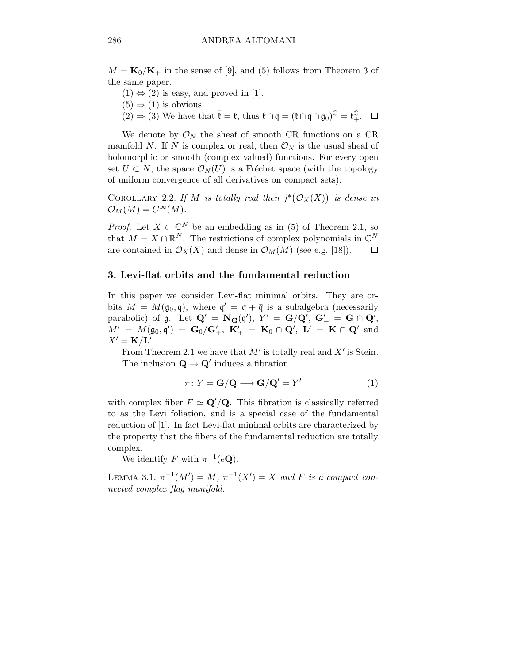$M = \mathbf{K}_0/\mathbf{K}_+$  in the sense of [9], and (5) follows from Theorem 3 of the same paper.

- $(1) \Leftrightarrow (2)$  is easy, and proved in [1].
- $(5) \Rightarrow (1)$  is obvious.
- $(2) \Rightarrow (3)$  We have that  $\bar{\mathfrak{k}} = \mathfrak{k}$ , thus  $\mathfrak{k} \cap \mathfrak{q} = (\mathfrak{k} \cap \mathfrak{q} \cap \mathfrak{g}_0)^{\mathbb{C}} = \mathfrak{k}_{+}^{\mathbb{C}}$ .

We denote by  $\mathcal{O}_N$  the sheaf of smooth CR functions on a CR manifold N. If N is complex or real, then  $\mathcal{O}_N$  is the usual sheaf of holomorphic or smooth (complex valued) functions. For every open set  $U \subset N$ , the space  $\mathcal{O}_N(U)$  is a Fréchet space (with the topology of uniform convergence of all derivatives on compact sets).

COROLLARY 2.2. If M is totally real then  $j^*(\mathcal{O}_X(X))$  is dense in  $\mathcal{O}_M(M) = C^{\infty}(M).$ 

*Proof.* Let  $X \subset \mathbb{C}^N$  be an embedding as in (5) of Theorem 2.1, so that  $M = X \cap \mathbb{R}^N$ . The restrictions of complex polynomials in  $\mathbb{C}^N$ are contained in  $\mathcal{O}_X(X)$  and dense in  $\mathcal{O}_M(M)$  (see e.g. [18]).  $\Box$ 

#### 3. Levi-flat orbits and the fundamental reduction

In this paper we consider Levi-flat minimal orbits. They are orbits  $M = M(\mathfrak{g}_0, \mathfrak{q})$ , where  $\mathfrak{q}' = \mathfrak{q} + \bar{\mathfrak{q}}$  is a subalgebra (necessarily parabolic) of  $\mathfrak{g}$ . Let  $\mathbf{Q}' = \mathbf{N}_{\mathbf{G}}(\mathfrak{q}')$ ,  $Y' = \mathbf{G}/\mathbf{Q}'$ ,  $\mathbf{G}'_+ = \mathbf{G} \cap \mathbf{Q}'$ ,  $M' \; = \; M(\mathfrak{g}_0, \mathfrak{q}') \; = \; \mathbf{G}_0 / \mathbf{G}_+^\prime, \; \, \mathbf{K}_+^\prime \; = \; \mathbf{K}_0 \, \cap \, \mathbf{Q}_\cdot^\prime, \; \, \mathbf{L}^\prime \; = \; \mathbf{K} \, \cap \, \mathbf{Q}_\cdot^\prime \; \; \text{and}$  $X' = \mathbf{K}/\mathbf{L}'$ .

From Theorem 2.1 we have that  $M'$  is totally real and  $X'$  is Stein. The inclusion  $\mathbf{Q} \to \mathbf{Q}'$  induces a fibration

$$
\pi \colon Y = \mathbf{G}/\mathbf{Q} \longrightarrow \mathbf{G}/\mathbf{Q}' = Y'
$$
 (1)

with complex fiber  $F \simeq \mathbf{Q}'/\mathbf{Q}$ . This fibration is classically referred to as the Levi foliation, and is a special case of the fundamental reduction of [1]. In fact Levi-flat minimal orbits are characterized by the property that the fibers of the fundamental reduction are totally complex.

We identify F with  $\pi^{-1}(e\mathbf{Q})$ .

LEMMA 3.1.  $\pi^{-1}(M') = M$ ,  $\pi^{-1}(X') = X$  and F is a compact connected complex flag manifold.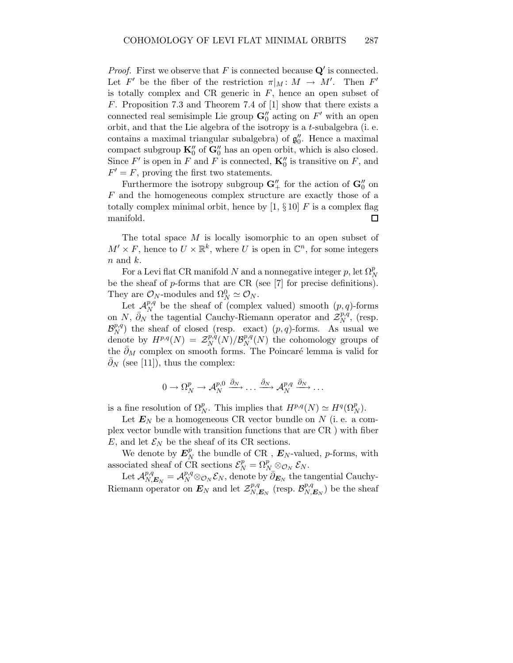*Proof.* First we observe that  $F$  is connected because  $Q'$  is connected. Let F' be the fiber of the restriction  $\pi|_M \colon M \to M'$ . Then F' is totally complex and CR generic in  $F$ , hence an open subset of F. Proposition 7.3 and Theorem 7.4 of [1] show that there exists a connected real semisimple Lie group  $\mathbf{G}''_0$  acting on  $F'$  with an open orbit, and that the Lie algebra of the isotropy is a t-subalgebra (i. e. contains a maximal triangular subalgebra) of  $g_0$  $_{0}^{\prime\prime}$ . Hence a maximal compact subgroup  $\mathbf{K}'_0$  of  $\mathbf{G}''_0$  has an open orbit, which is also closed. Since  $F'$  is open in  $F$  and  $F$  is connected,  $\mathbf{K}_0''$  is transitive on  $F$ , and  $F' = F$ , proving the first two statements.

Furthermore the isotropy subgroup  $\mathbf{G}''_+$  for the action of  $\mathbf{G}''_0$  on F and the homogeneous complex structure are exactly those of a totally complex minimal orbit, hence by  $[1, \S 10]$  F is a complex flag manifold.  $\Box$ 

The total space M is locally isomorphic to an open subset of  $M' \times F$ , hence to  $U \times \mathbb{R}^k$ , where U is open in  $\mathbb{C}^n$ , for some integers  $n$  and  $k$ .

For a Levi flat CR manifold  $N$  and a nonnegative integer  $p$ , let  $\Omega_N^p$ be the sheaf of  $p$ -forms that are CR (see [7] for precise definitions). They are  $\mathcal{O}_N$ -modules and  $\Omega_N^0 \simeq \mathcal{O}_N$ .

Let  $\mathcal{A}_{N}^{p,q}$  $\mathbb{P}_N^{p,q}$  be the sheaf of (complex valued) smooth  $(p,q)$ -forms on N,  $\overline{\partial}_N$  the tagential Cauchy-Riemann operator and  $\mathcal{Z}_N^{p,q}$  $N^{p,q}$ , (resp.  $\mathcal{B}_N^{p,q}$  $\binom{p,q}{N}$  the sheaf of closed (resp. exact)  $(p,q)$ -forms. As usual we denote by  $H^{p,q}(N) = \mathcal{Z}_N^{p,q}$  $\frac{p,q}{N}(N)/\mathcal{B}_N^{p,q}$  $N^{p,q}(N)$  the cohomology groups of the  $\partial_M$  complex on smooth forms. The Poincaré lemma is valid for  $\partial_N$  (see [11]), thus the complex:

$$
0 \to \Omega_N^p \to \mathcal{A}_N^{p,0} \xrightarrow{\bar{\partial}_N} \dots \xrightarrow{\bar{\partial}_N} \mathcal{A}_N^{p,q} \xrightarrow{\bar{\partial}_N} \dots
$$

is a fine resolution of  $\Omega_N^p$ . This implies that  $H^{p,q}(N) \simeq H^q(\Omega_N^p)$ .

Let  $E_N$  be a homogeneous CR vector bundle on N (i. e. a complex vector bundle with transition functions that are CR ) with fiber E, and let  $\mathcal{E}_N$  be the sheaf of its CR sections.

We denote by  $E_N^p$  $N \atop N$  the bundle of CR ,  $\boldsymbol{E}_N$ -valued, *p*-forms, with associated sheaf of CR sections  $\mathcal{E}_N^p = \Omega_{N_-}^p \otimes_{\mathcal{O}_N} \mathcal{E}_N$ .

Let  $\mathcal{A}_{N,E_N}^{p,q} = \mathcal{A}_N^{p,q} \otimes_{\mathcal{O}_N} \mathcal{E}_N$ , denote by  $\overline{\partial}_{E_N}$  the tangential Cauchy-Riemann operator on  $E_N$  and let  $\mathcal{Z}_{N,E_N}^{p,q}$  (resp.  $\mathcal{B}_{N,E_N}^{p,q}$ ) be the sheaf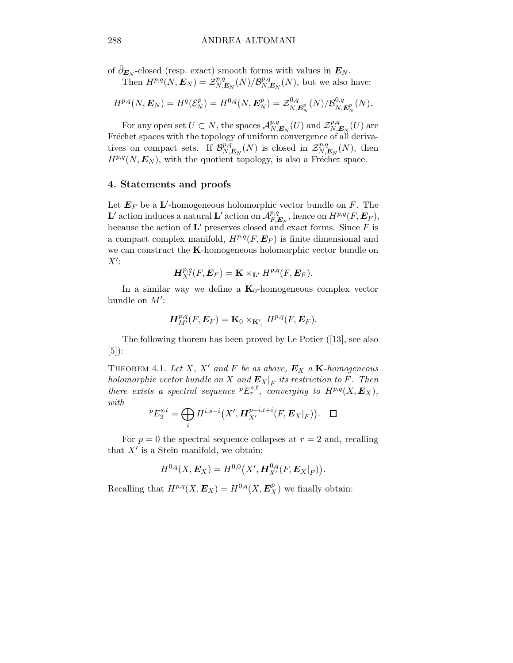of  $\bar{\partial}_{E_N}$ -closed (resp. exact) smooth forms with values in  $E_N$ .

Then  $H^{p,q}(N, E_N) = \mathcal{Z}_{N, E_N}^{p,q}(N)/\mathcal{B}_{N, E_N}^{p,q}(N)$ , but we also have:

$$
H^{p,q}(N, E_N) = H^q(\mathcal{E}_N^p) = H^{0,q}(N, E_N^p) = \mathcal{Z}_{N, E_N^p}^{0,q}(N) / \mathcal{B}_{N, E_N^p}^{0,q}(N).
$$

For any open set  $U \subset N$ , the spaces  $\mathcal{A}_{N,E_N}^{p,q}(U)$  and  $\mathcal{Z}_{N,E_N}^{p,q}(U)$  are Fréchet spaces with the topology of uniform convergence of all derivatives on compact sets. If  $\mathcal{B}_{N,E_N}^{p,q}(N)$  is closed in  $\mathcal{Z}_{N,E_N}^{p,q}(N)$ , then  $H^{p,q}(N, E_N)$ , with the quotient topology, is also a Fréchet space.

#### 4. Statements and proofs

Let  $\mathbf{E}_F$  be a L'-homogeneous holomorphic vector bundle on F. The L' action induces a natural L' action on  $\mathcal{A}_{F, E_F}^{p,q}$ , hence on  $H^{p,q}(F, E_F)$ , because the action of **L'** preserves closed and exact forms. Since  $F$  is a compact complex manifold,  $H^{p,q}(F, E_F)$  is finite dimensional and we can construct the K-homogeneous holomorphic vector bundle on  $X^{\prime}$ :

$$
\boldsymbol{H}^{p,q}_{X'}(F,\boldsymbol{E}_F)=\mathbf{K}\times_{\mathbf{L}'}H^{p,q}(F,\boldsymbol{E}_F).
$$

In a similar way we define a  $K_0$ -homogeneous complex vector bundle on  $M'$ :

$$
{\boldsymbol{H}}^{p,q}_{M'}(F,{\boldsymbol{E}}_F)={\boldsymbol{\mathrm{K}}}_0\times_{{\boldsymbol{\mathrm{K}}}'_+}H^{p,q}(F,{\boldsymbol{E}}_F).
$$

The following thorem has been proved by Le Potier ([13], see also [5]):

THEOREM 4.1. Let X, X' and F be as above,  $E_X$  a K-homogeneous holomorphic vector bundle on X and  $\mathbf{E}_X|_F$  its restriction to F. Then there exists a spectral sequence  ${}^pE_r^{s,t}$ , converging to  $H^{p,q}(X, E_X)$ , with

$$
{}^{p}E_{2}^{s,t} = \bigoplus_{i} H^{i,s-i}(X', \mathbf{H}_{X'}^{p-i,t+i}(F, \mathbf{E}_{X}|_{F})). \quad \Box
$$

For  $p = 0$  the spectral sequence collapses at  $r = 2$  and, recalling that  $X'$  is a Stein manifold, we obtain:

$$
H^{0,q}(X, E_X) = H^{0,0}(X', \mathbf{H}^{0,q}_{X'}(F, E_X|_F)).
$$

Recalling that  $H^{p,q}(X, E_X) = H^{0,q}(X, E_X^p)$  we finally obtain: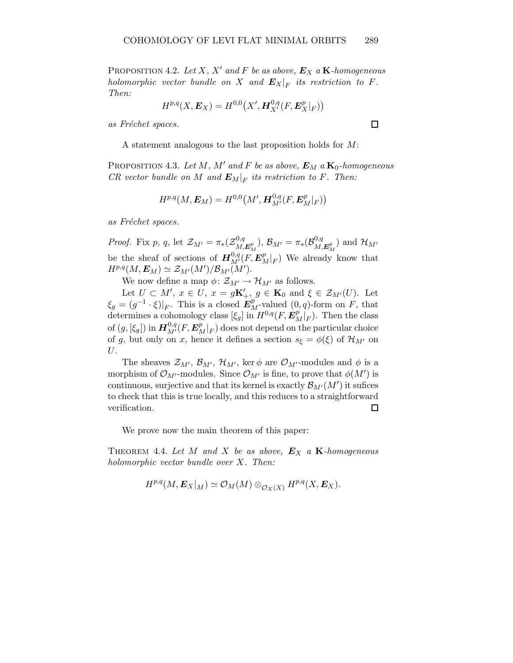PROPOSITION 4.2. Let X, X' and F be as above,  $E_X$  a K-homogeneous holomorphic vector bundle on X and  $\boldsymbol{E}_X|_F$  its restriction to F. Then:

$$
H^{p,q}(X, \bm{E}_X) = H^{0,0}\big(X', \bm{H}^{0,q}_{X'}(F,\bm{E}^p_X|_F)\big)
$$

as Fréchet spaces.

A statement analogous to the last proposition holds for M:

PROPOSITION 4.3. Let M, M' and F be as above,  $E_M$  a  $\mathbf{K}_0$ -homogeneous CR vector bundle on M and  $E_M|_F$  its restriction to F. Then:

$$
H^{p,q}(M,\boldsymbol{E}_M)=H^{0,0}\big(M',\boldsymbol{H}^{0,q}_{M'}(F,\boldsymbol{E}^p_M|_F)\big)
$$

as Fréchet spaces.

*Proof.* Fix p, q, let  $\mathcal{Z}_{M'} = \pi_*(\mathcal{Z}_{M}^{0,q})$  $\langle \begin{array}{c} 0,q \ M,E_M^p \end{array} \rangle, \ {\cal B}_{M'} = \pi_*({\cal B}^{0,q}_{M,2})$  $\mathcal{H}_{M,\boldsymbol{E}_{M}^{p}})$  and  $\mathcal{H}_{M'}$ be the sheaf of sections of  $\boldsymbol{H}^{0,q}_{M'}(F,\boldsymbol{E}^p_M|_F)$  We already know that  $H^{p,q}(M,\boldsymbol{E}_M)\simeq \mathcal{Z}_{M'}(M')/\mathcal{B}_{M'}(M').$ 

We now define a map  $\phi \colon \mathcal{Z}_{M'} \to \mathcal{H}_{M'}$  as follows.

Let  $U \subset M'$ ,  $x \in U$ ,  $x = g\mathbf{K}'_+$ ,  $g \in \mathbf{K}_0$  and  $\xi \in \mathcal{Z}_{M'}(U)$ . Let  $\xi_g = (g^{-1} \cdot \xi)|_F$ . This is a closed  $E_M^p$ -valued  $(0, q)$ -form on F, that determines a cohomology class  $[\xi_g]$  in  $H^{0,q}(F, E_M^p|_F)$ . Then the class of  $(g,[\xi_g])$  in  ${\bm H}_{M'}^{0,q}(F,{\bm E}_M^p|_F)$  does not depend on the particular choice of g, but only on x, hence it defines a section  $s_{\xi} = \phi(\xi)$  of  $\mathcal{H}_{M'}$  on U.

The sheaves  $\mathcal{Z}_{M'}$ ,  $\mathcal{B}_{M'}$ ,  $\mathcal{H}_{M'}$ , ker  $\phi$  are  $\mathcal{O}_{M'}$ -modules and  $\phi$  is a morphism of  $\mathcal{O}_{M'}$ -modules. Since  $\mathcal{O}_{M'}$  is fine, to prove that  $\phi(M')$  is continuous, surjective and that its kernel is exactly  $\mathcal{B}_{M'}(M')$  it sufices to check that this is true locally, and this reduces to a straightforward verification.  $\Box$ 

We prove now the main theorem of this paper:

THEOREM 4.4. Let M and X be as above,  $E_X$  a K-homogeneous holomorphic vector bundle over X. Then:

$$
H^{p,q}(M,\boldsymbol{E}_X|_M)\simeq \mathcal{O}_M(M)\otimes_{\mathcal{O}_X(X)}H^{p,q}(X,\boldsymbol{E}_X).
$$

 $\Box$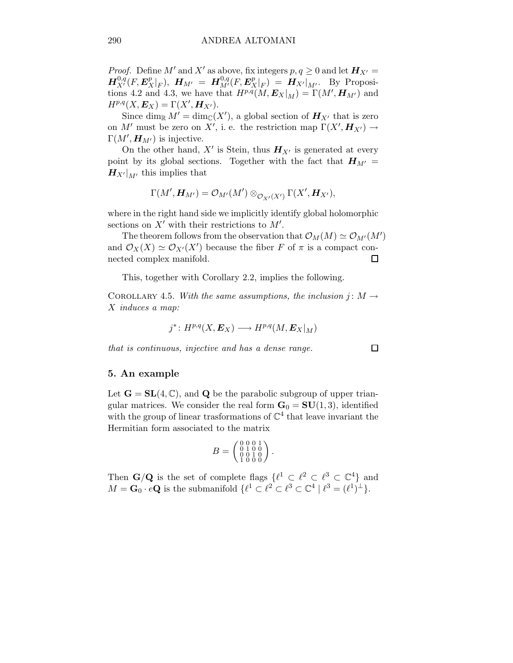*Proof.* Define M' and X' as above, fix integers  $p, q \ge 0$  and let  $H_{X'} =$  $\bm{H}_{X'}^{0,q}(F,\bm{E}_X^p|_F), \ \bm{H}_{M'} \ = \ \bm{H}_{M'}^{0,q}(F,\bm{E}_X^p|_F) \ = \ \bm{H}_{X'}|_{M'}. \ \ \ \text{By Proposition 1:}$ tions 4.2 and 4.3, we have that  $H^{p,q}(M, E_X|_M) = \Gamma(M', H_{M'})$  and  $H^{p,q}(X,\boldsymbol{E}_X)=\Gamma(X',\boldsymbol{H}_{X'}).$ 

Since  $\dim_{\mathbb{R}} M' = \dim_{\mathbb{C}}(X')$ , a global section of  $H_{X'}$  that is zero on M' must be zero on X', i. e. the restriction map  $\Gamma(X', H_{X'}) \to$  $\Gamma(M', H_{M'})$  is injective.

On the other hand,  $X'$  is Stein, thus  $H_{X'}$  is generated at every point by its global sections. Together with the fact that  $H_{M'} =$  $H_{X'}|_{M'}$  this implies that

$$
\Gamma(M',\boldsymbol{H}_{M'})=\mathcal{O}_{M'}(M')\otimes_{\mathcal{O}_{X'}(X')} \Gamma(X',\boldsymbol{H}_{X'}),
$$

where in the right hand side we implicitly identify global holomorphic sections on  $X'$  with their restrictions to  $M'$ .

The theorem follows from the observation that  $\mathcal{O}_M(M) \simeq \mathcal{O}_{M'}(M')$ and  $\mathcal{O}_X(X) \simeq \mathcal{O}_{X'}(X')$  because the fiber F of  $\pi$  is a compact connected complex manifold.  $\Box$ 

This, together with Corollary 2.2, implies the following.

COROLLARY 4.5. With the same assumptions, the inclusion  $j: M \to$ X induces a map:

$$
j^* \colon H^{p,q}(X,\boldsymbol{E}_X) \longrightarrow H^{p,q}(M,\boldsymbol{E}_X|_M)
$$

that is continuous, injective and has a dense range.

#### 5. An example

Let  $\mathbf{G} = \mathbf{SL}(4, \mathbb{C})$ , and Q be the parabolic subgroup of upper triangular matrices. We consider the real form  $G_0 = SU(1, 3)$ , identified with the group of linear trasformations of  $\mathbb{C}^4$  that leave invariant the Hermitian form associated to the matrix

$$
B = \begin{pmatrix} 0 & 0 & 0 & 1 \\ 0 & 1 & 0 & 0 \\ 0 & 0 & 1 & 0 \\ 1 & 0 & 0 & 0 \end{pmatrix}.
$$

Then  $\mathbf{G}/\mathbf{Q}$  is the set of complete flags  $\{\ell^1 \subset \ell^2 \subset \ell^3 \subset \mathbb{C}^4\}$  and  $M = \mathbf{G}_0 \cdot e\mathbf{Q}$  is the submanifold  $\{ \ell^1 \subset \ell^2 \subset \ell^3 \subset \mathbb{C}^4 \mid \ell^3 = (\ell^1)^{\perp} \}.$ 

 $\Box$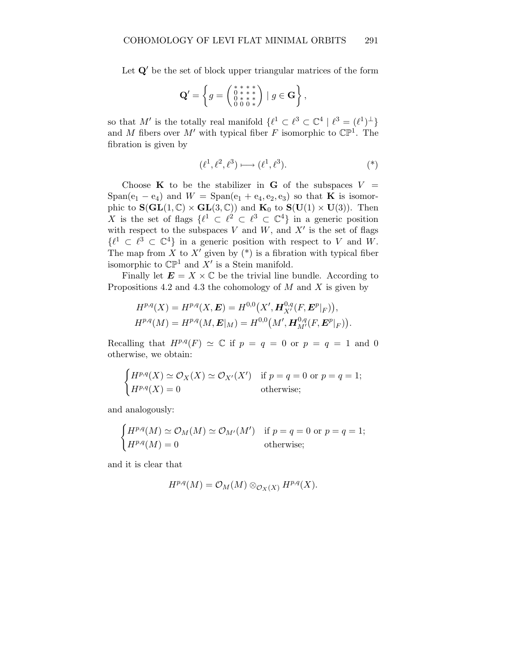Let  $Q'$  be the set of block upper triangular matrices of the form

$$
\mathbf{Q}' = \left\{ g = \begin{pmatrix} * & * & * & * \\ 0 & * & * & * \\ 0 & * & * & * \\ 0 & 0 & 0 & * \end{pmatrix} \mid g \in \mathbf{G} \right\},\
$$

so that M' is the totally real manifold  $\{\ell^1 \subset \ell^3 \subset \mathbb{C}^4 \mid \ell^3 = (\ell^1)^{\perp}\}\$ and M fibers over M' with typical fiber F isomorphic to  $\mathbb{CP}^1$ . The fibration is given by

$$
(\ell^1, \ell^2, \ell^3) \longmapsto (\ell^1, \ell^3). \tag{*}
$$

Choose **K** to be the stabilizer in **G** of the subspaces  $V =$  $Span(e_1 - e_4)$  and  $W = Span(e_1 + e_4, e_2, e_3)$  so that **K** is isomorphic to  $\mathbf{S}(\mathbf{GL}(1,\mathbb{C}) \times \mathbf{GL}(3,\mathbb{C}))$  and  $\mathbf{K}_0$  to  $\mathbf{S}(\mathbf{U}(1) \times \mathbf{U}(3))$ . Then X is the set of flags  $\{\ell^1 \subset \ell^2 \subset \ell^3 \subset \mathbb{C}^4\}$  in a generic position with respect to the subspaces  $V$  and  $W$ , and  $X'$  is the set of flags  $\{\ell^1 \subset \ell^3 \subset \mathbb{C}^4\}$  in a generic position with respect to V and W. The map from X to X' given by  $(*)$  is a fibration with typical fiber isomorphic to  $\mathbb{CP}^1$  and  $X'$  is a Stein manifold.

Finally let  $\mathbf{E} = X \times \mathbb{C}$  be the trivial line bundle. According to Propositions 4.2 and 4.3 the cohomology of  $M$  and  $X$  is given by

$$
H^{p,q}(X) = H^{p,q}(X, E) = H^{0,0}(X', \mathbf{H}_{X'}^{0,q}(F, \mathbf{E}^p|_F)),
$$
  

$$
H^{p,q}(M) = H^{p,q}(M, \mathbf{E}|_M) = H^{0,0}(M', \mathbf{H}_{M'}^{0,q}(F, \mathbf{E}^p|_F)).
$$

Recalling that  $H^{p,q}(F) \simeq \mathbb{C}$  if  $p = q = 0$  or  $p = q = 1$  and 0 otherwise, we obtain:

$$
\begin{cases}\nH^{p,q}(X) \simeq \mathcal{O}_X(X) \simeq \mathcal{O}_{X'}(X') & \text{if } p = q = 0 \text{ or } p = q = 1; \\
H^{p,q}(X) = 0 & \text{otherwise};\n\end{cases}
$$

and analogously:

$$
\begin{cases}\nH^{p,q}(M) \simeq \mathcal{O}_M(M) \simeq \mathcal{O}_{M'}(M') & \text{if } p = q = 0 \text{ or } p = q = 1; \\
H^{p,q}(M) = 0 & \text{otherwise;}\n\end{cases}
$$

and it is clear that

$$
H^{p,q}(M) = \mathcal{O}_M(M) \otimes_{\mathcal{O}_X(X)} H^{p,q}(X).
$$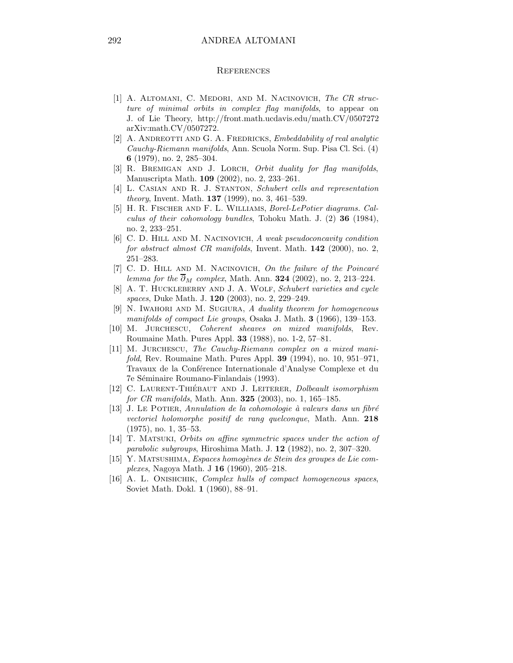#### **REFERENCES**

- [1] A. ALTOMANI, C. MEDORI, AND M. NACINOVICH, The CR structure of minimal orbits in complex flag manifolds, to appear on J. of Lie Theory, http://front.math.ucdavis.edu/math.CV/0507272 arXiv:math.CV/0507272.
- [2] A. ANDREOTTI AND G. A. FREDRICKS, Embeddability of real analytic Cauchy-Riemann manifolds, Ann. Scuola Norm. Sup. Pisa Cl. Sci. (4) 6 (1979), no. 2, 285–304.
- [3] R. BREMIGAN AND J. LORCH, Orbit duality for flag manifolds, Manuscripta Math. 109 (2002), no. 2, 233–261.
- [4] L. CASIAN AND R. J. STANTON, Schubert cells and representation theory, Invent. Math. 137 (1999), no. 3, 461–539.
- [5] H. R. Fischer and F. L. Williams, Borel-LePotier diagrams. Calculus of their cohomology bundles, Tohoku Math. J. (2) 36 (1984), no. 2, 233–251.
- [6] C. D. HILL AND M. NACINOVICH, A weak pseudoconcavity condition for abstract almost CR manifolds, Invent. Math. 142 (2000), no. 2, 251–283.
- [7] C. D. HILL AND M. NACINOVICH, On the failure of the Poincaré lemma for the  $\overline{\partial}_M$  complex, Math. Ann. **324** (2002), no. 2, 213–224.
- [8] A. T. HUCKLEBERRY AND J. A. WOLF, Schubert varieties and cycle spaces, Duke Math. J. 120 (2003), no. 2, 229–249.
- [9] N. Iwahori and M. Sugiura, A duality theorem for homogeneous manifolds of compact Lie groups, Osaka J. Math. 3 (1966), 139–153.
- [10] M. Jurchescu, Coherent sheaves on mixed manifolds, Rev. Roumaine Math. Pures Appl. 33 (1988), no. 1-2, 57–81.
- [11] M. JURCHESCU, The Cauchy-Riemann complex on a mixed manifold, Rev. Roumaine Math. Pures Appl. 39 (1994), no. 10, 951–971, Travaux de la Conférence Internationale d'Analyse Complexe et du 7e Séminaire Roumano-Finlandais (1993).
- [12] C. LAURENT-THIÉBAUT AND J. LEITERER, Dolbeault isomorphism for CR manifolds, Math. Ann. **325** (2003), no. 1, 165–185.
- $[13]$  J. LE POTIER, Annulation de la cohomologie à valeurs dans un fibré vectoriel holomorphe positif de rang quelconque, Math. Ann. 218 (1975), no. 1, 35–53.
- [14] T. Matsuki, Orbits on affine symmetric spaces under the action of parabolic subgroups, Hiroshima Math. J. 12 (1982), no. 2, 307–320.
- $[15]$  Y. MATSUSHIMA, Espaces homogènes de Stein des groupes de Lie complexes, Nagoya Math. J 16 (1960), 205–218.
- [16] A. L. ONISHCHIK, *Complex hulls of compact homogeneous spaces*, Soviet Math. Dokl. 1 (1960), 88–91.